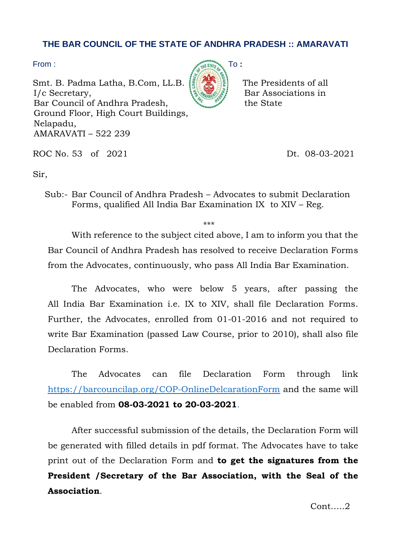## **THE BAR COUNCIL OF THE STATE OF ANDHRA PRADESH :: AMARAVATI**

Smt. B. Padma Latha, B.Com, LL.B.  $\left| \frac{1}{2} \right| \left| \frac{1}{2} \right|$  The Presidents of all  $I/c$  Secretary,  $\{S_{\text{Wann}}\}_{\text{S}}\}$  Bar Associations in Bar Council of Andhra Pradesh, the State Ground Floor, High Court Buildings, Nelapadu, AMARAVATI – 522 239



ROC No. 53 of 2021 Dt. 08-03-2021

Sir,

Sub:- Bar Council of Andhra Pradesh – Advocates to submit Declaration Forms, qualified All India Bar Examination IX to XIV – Reg.

\*\*\*

With reference to the subject cited above, I am to inform you that the Bar Council of Andhra Pradesh has resolved to receive Declaration Forms from the Advocates, continuously, who pass All India Bar Examination.

The Advocates, who were below 5 years, after passing the All India Bar Examination i.e. IX to XIV, shall file Declaration Forms. Further, the Advocates, enrolled from 01-01-2016 and not required to write Bar Examination (passed Law Course, prior to 2010), shall also file Declaration Forms.

The Advocates can file Declaration Form through link [https://barcouncilap.org/COP-OnlineDelcarationForm](https://barcouncilap.org/COP-OnlineDelcarationForm/) and the same will be enabled from **08-03-2021 to 20-03-2021**.

After successful submission of the details, the Declaration Form will be generated with filled details in pdf format. The Advocates have to take print out of the Declaration Form and **to get the signatures from the President /Secretary of the Bar Association, with the Seal of the Association**.

Cont…..2